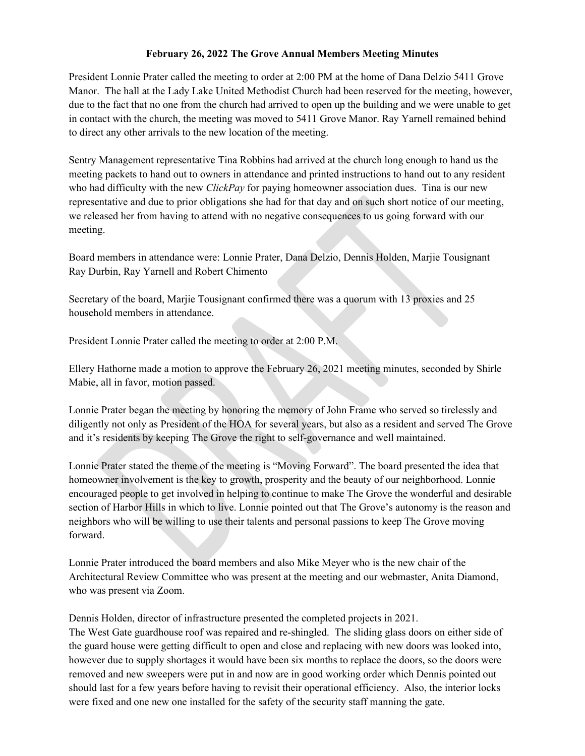## **February 26, 2022 The Grove Annual Members Meeting Minutes**

President Lonnie Prater called the meeting to order at 2:00 PM at the home of Dana Delzio 5411 Grove Manor. The hall at the Lady Lake United Methodist Church had been reserved for the meeting, however, due to the fact that no one from the church had arrived to open up the building and we were unable to get in contact with the church, the meeting was moved to 5411 Grove Manor. Ray Yarnell remained behind to direct any other arrivals to the new location of the meeting.

Sentry Management representative Tina Robbins had arrived at the church long enough to hand us the meeting packets to hand out to owners in attendance and printed instructions to hand out to any resident who had difficulty with the new *ClickPay* for paying homeowner association dues. Tina is our new representative and due to prior obligations she had for that day and on such short notice of our meeting, we released her from having to attend with no negative consequences to us going forward with our meeting.

Board members in attendance were: Lonnie Prater, Dana Delzio, Dennis Holden, Marjie Tousignant Ray Durbin, Ray Yarnell and Robert Chimento

Secretary of the board, Marjie Tousignant confirmed there was a quorum with 13 proxies and 25 household members in attendance.

President Lonnie Prater called the meeting to order at 2:00 P.M.

Ellery Hathorne made a motion to approve the February 26, 2021 meeting minutes, seconded by Shirle Mabie, all in favor, motion passed.

Lonnie Prater began the meeting by honoring the memory of John Frame who served so tirelessly and diligently not only as President of the HOA for several years, but also as a resident and served The Grove and it's residents by keeping The Grove the right to self-governance and well maintained.

Lonnie Prater stated the theme of the meeting is "Moving Forward". The board presented the idea that homeowner involvement is the key to growth, prosperity and the beauty of our neighborhood. Lonnie encouraged people to get involved in helping to continue to make The Grove the wonderful and desirable section of Harbor Hills in which to live. Lonnie pointed out that The Grove's autonomy is the reason and neighbors who will be willing to use their talents and personal passions to keep The Grove moving forward.

Lonnie Prater introduced the board members and also Mike Meyer who is the new chair of the Architectural Review Committee who was present at the meeting and our webmaster, Anita Diamond, who was present via Zoom.

Dennis Holden, director of infrastructure presented the completed projects in 2021.

The West Gate guardhouse roof was repaired and re-shingled. The sliding glass doors on either side of the guard house were getting difficult to open and close and replacing with new doors was looked into, however due to supply shortages it would have been six months to replace the doors, so the doors were removed and new sweepers were put in and now are in good working order which Dennis pointed out should last for a few years before having to revisit their operational efficiency. Also, the interior locks were fixed and one new one installed for the safety of the security staff manning the gate.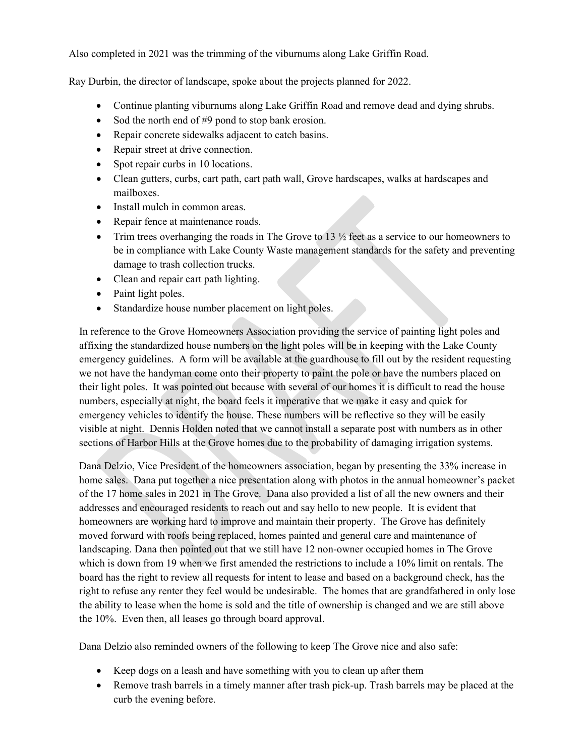Also completed in 2021 was the trimming of the viburnums along Lake Griffin Road.

Ray Durbin, the director of landscape, spoke about the projects planned for 2022.

- Continue planting viburnums along Lake Griffin Road and remove dead and dying shrubs.
- Sod the north end of #9 pond to stop bank erosion.
- Repair concrete sidewalks adjacent to catch basins.
- Repair street at drive connection.
- Spot repair curbs in 10 locations.
- Clean gutters, curbs, cart path, cart path wall, Grove hardscapes, walks at hardscapes and mailboxes.
- Install mulch in common areas.
- Repair fence at maintenance roads.
- Trim trees overhanging the roads in The Grove to 13  $\frac{1}{2}$  feet as a service to our homeowners to be in compliance with Lake County Waste management standards for the safety and preventing damage to trash collection trucks.
- Clean and repair cart path lighting.
- Paint light poles.
- Standardize house number placement on light poles.

In reference to the Grove Homeowners Association providing the service of painting light poles and affixing the standardized house numbers on the light poles will be in keeping with the Lake County emergency guidelines. A form will be available at the guardhouse to fill out by the resident requesting we not have the handyman come onto their property to paint the pole or have the numbers placed on their light poles. It was pointed out because with several of our homes it is difficult to read the house numbers, especially at night, the board feels it imperative that we make it easy and quick for emergency vehicles to identify the house. These numbers will be reflective so they will be easily visible at night. Dennis Holden noted that we cannot install a separate post with numbers as in other sections of Harbor Hills at the Grove homes due to the probability of damaging irrigation systems.

Dana Delzio, Vice President of the homeowners association, began by presenting the 33% increase in home sales. Dana put together a nice presentation along with photos in the annual homeowner's packet of the 17 home sales in 2021 in The Grove. Dana also provided a list of all the new owners and their addresses and encouraged residents to reach out and say hello to new people. It is evident that homeowners are working hard to improve and maintain their property. The Grove has definitely moved forward with roofs being replaced, homes painted and general care and maintenance of landscaping. Dana then pointed out that we still have 12 non-owner occupied homes in The Grove which is down from 19 when we first amended the restrictions to include a 10% limit on rentals. The board has the right to review all requests for intent to lease and based on a background check, has the right to refuse any renter they feel would be undesirable. The homes that are grandfathered in only lose the ability to lease when the home is sold and the title of ownership is changed and we are still above the 10%. Even then, all leases go through board approval.

Dana Delzio also reminded owners of the following to keep The Grove nice and also safe:

- Keep dogs on a leash and have something with you to clean up after them
- Remove trash barrels in a timely manner after trash pick-up. Trash barrels may be placed at the curb the evening before.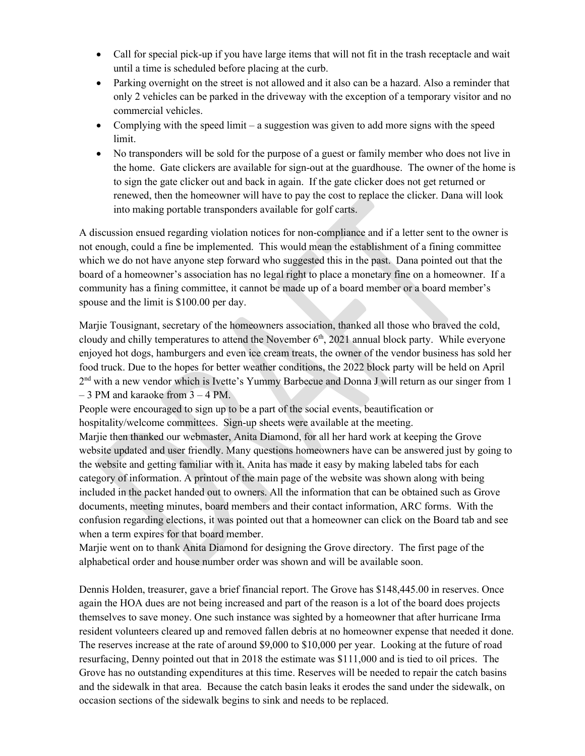- Call for special pick-up if you have large items that will not fit in the trash receptacle and wait until a time is scheduled before placing at the curb.
- Parking overnight on the street is not allowed and it also can be a hazard. Also a reminder that only 2 vehicles can be parked in the driveway with the exception of a temporary visitor and no commercial vehicles.
- Complying with the speed limit a suggestion was given to add more signs with the speed limit.
- No transponders will be sold for the purpose of a guest or family member who does not live in the home. Gate clickers are available for sign-out at the guardhouse. The owner of the home is to sign the gate clicker out and back in again. If the gate clicker does not get returned or renewed, then the homeowner will have to pay the cost to replace the clicker. Dana will look into making portable transponders available for golf carts.

A discussion ensued regarding violation notices for non-compliance and if a letter sent to the owner is not enough, could a fine be implemented. This would mean the establishment of a fining committee which we do not have anyone step forward who suggested this in the past. Dana pointed out that the board of a homeowner's association has no legal right to place a monetary fine on a homeowner. If a community has a fining committee, it cannot be made up of a board member or a board member's spouse and the limit is \$100.00 per day.

Marjie Tousignant, secretary of the homeowners association, thanked all those who braved the cold, cloudy and chilly temperatures to attend the November  $6<sup>th</sup>$ , 2021 annual block party. While everyone enjoyed hot dogs, hamburgers and even ice cream treats, the owner of the vendor business has sold her food truck. Due to the hopes for better weather conditions, the 2022 block party will be held on April  $2<sup>nd</sup>$  with a new vendor which is Ivette's Yummy Barbecue and Donna J will return as our singer from 1 – 3 PM and karaoke from 3 – 4 PM.

People were encouraged to sign up to be a part of the social events, beautification or hospitality/welcome committees. Sign-up sheets were available at the meeting.

Marjie then thanked our webmaster, Anita Diamond, for all her hard work at keeping the Grove website updated and user friendly. Many questions homeowners have can be answered just by going to the website and getting familiar with it. Anita has made it easy by making labeled tabs for each category of information. A printout of the main page of the website was shown along with being included in the packet handed out to owners. All the information that can be obtained such as Grove documents, meeting minutes, board members and their contact information, ARC forms. With the confusion regarding elections, it was pointed out that a homeowner can click on the Board tab and see when a term expires for that board member.

Marjie went on to thank Anita Diamond for designing the Grove directory. The first page of the alphabetical order and house number order was shown and will be available soon.

Dennis Holden, treasurer, gave a brief financial report. The Grove has \$148,445.00 in reserves. Once again the HOA dues are not being increased and part of the reason is a lot of the board does projects themselves to save money. One such instance was sighted by a homeowner that after hurricane Irma resident volunteers cleared up and removed fallen debris at no homeowner expense that needed it done. The reserves increase at the rate of around \$9,000 to \$10,000 per year. Looking at the future of road resurfacing, Denny pointed out that in 2018 the estimate was \$111,000 and is tied to oil prices. The Grove has no outstanding expenditures at this time. Reserves will be needed to repair the catch basins and the sidewalk in that area. Because the catch basin leaks it erodes the sand under the sidewalk, on occasion sections of the sidewalk begins to sink and needs to be replaced.